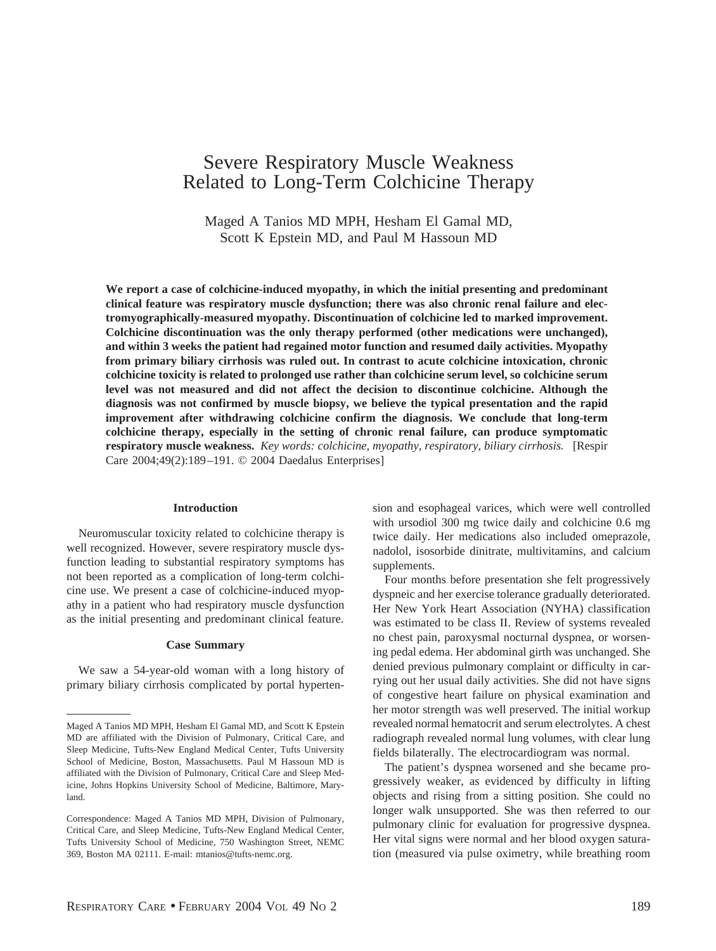# Severe Respiratory Muscle Weakness Related to Long-Term Colchicine Therapy

Maged A Tanios MD MPH, Hesham El Gamal MD, Scott K Epstein MD, and Paul M Hassoun MD

**We report a case of colchicine-induced myopathy, in which the initial presenting and predominant clinical feature was respiratory muscle dysfunction; there was also chronic renal failure and electromyographically-measured myopathy. Discontinuation of colchicine led to marked improvement. Colchicine discontinuation was the only therapy performed (other medications were unchanged), and within 3 weeks the patient had regained motor function and resumed daily activities. Myopathy from primary biliary cirrhosis was ruled out. In contrast to acute colchicine intoxication, chronic colchicine toxicity is related to prolonged use rather than colchicine serum level, so colchicine serum level was not measured and did not affect the decision to discontinue colchicine. Although the diagnosis was not confirmed by muscle biopsy, we believe the typical presentation and the rapid improvement after withdrawing colchicine confirm the diagnosis. We conclude that long-term colchicine therapy, especially in the setting of chronic renal failure, can produce symptomatic respiratory muscle weakness.** *Key words: colchicine, myopathy, respiratory, biliary cirrhosis.* [Respir Care 2004;49(2):189–191. © 2004 Daedalus Enterprises]

#### **Introduction**

Neuromuscular toxicity related to colchicine therapy is well recognized. However, severe respiratory muscle dysfunction leading to substantial respiratory symptoms has not been reported as a complication of long-term colchicine use. We present a case of colchicine-induced myopathy in a patient who had respiratory muscle dysfunction as the initial presenting and predominant clinical feature.

#### **Case Summary**

We saw a 54-year-old woman with a long history of primary biliary cirrhosis complicated by portal hypertension and esophageal varices, which were well controlled with ursodiol 300 mg twice daily and colchicine 0.6 mg twice daily. Her medications also included omeprazole, nadolol, isosorbide dinitrate, multivitamins, and calcium supplements.

Four months before presentation she felt progressively dyspneic and her exercise tolerance gradually deteriorated. Her New York Heart Association (NYHA) classification was estimated to be class II. Review of systems revealed no chest pain, paroxysmal nocturnal dyspnea, or worsening pedal edema. Her abdominal girth was unchanged. She denied previous pulmonary complaint or difficulty in carrying out her usual daily activities. She did not have signs of congestive heart failure on physical examination and her motor strength was well preserved. The initial workup revealed normal hematocrit and serum electrolytes. A chest radiograph revealed normal lung volumes, with clear lung fields bilaterally. The electrocardiogram was normal.

The patient's dyspnea worsened and she became progressively weaker, as evidenced by difficulty in lifting objects and rising from a sitting position. She could no longer walk unsupported. She was then referred to our pulmonary clinic for evaluation for progressive dyspnea. Her vital signs were normal and her blood oxygen saturation (measured via pulse oximetry, while breathing room

Maged A Tanios MD MPH, Hesham El Gamal MD, and Scott K Epstein MD are affiliated with the Division of Pulmonary, Critical Care, and Sleep Medicine, Tufts-New England Medical Center, Tufts University School of Medicine, Boston, Massachusetts. Paul M Hassoun MD is affiliated with the Division of Pulmonary, Critical Care and Sleep Medicine, Johns Hopkins University School of Medicine, Baltimore, Maryland.

Correspondence: Maged A Tanios MD MPH, Division of Pulmonary, Critical Care, and Sleep Medicine, Tufts-New England Medical Center, Tufts University School of Medicine, 750 Washington Street, NEMC 369, Boston MA 02111. E-mail: mtanios@tufts-nemc.org.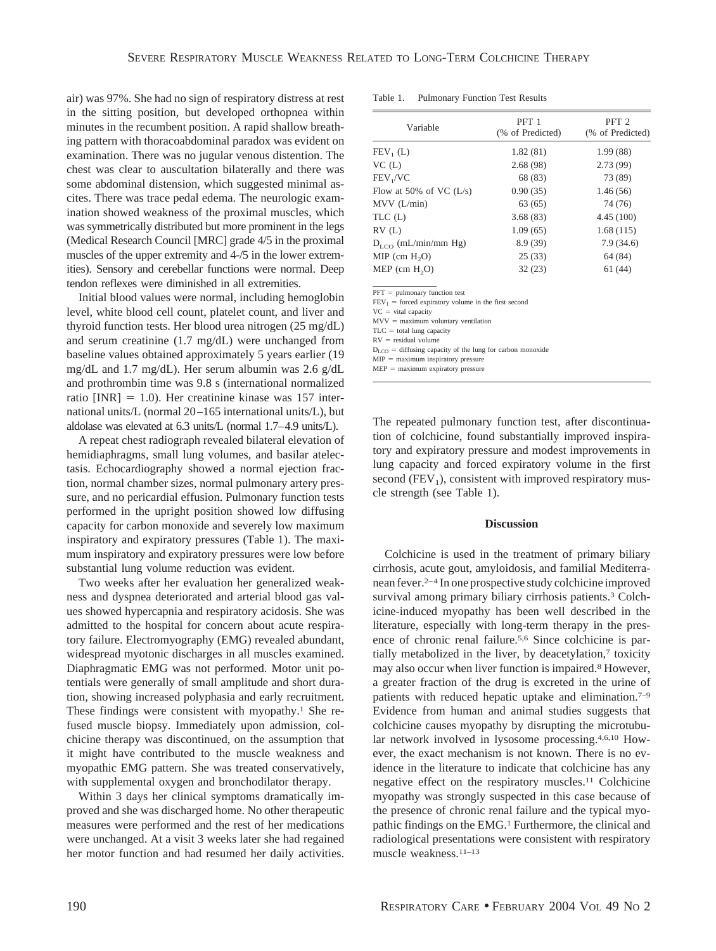air) was 97%. She had no sign of respiratory distress at rest in the sitting position, but developed orthopnea within minutes in the recumbent position. A rapid shallow breathing pattern with thoracoabdominal paradox was evident on examination. There was no jugular venous distention. The chest was clear to auscultation bilaterally and there was some abdominal distension, which suggested minimal ascites. There was trace pedal edema. The neurologic examination showed weakness of the proximal muscles, which was symmetrically distributed but more prominent in the legs (Medical Research Council [MRC] grade 4/5 in the proximal muscles of the upper extremity and 4-/5 in the lower extremities). Sensory and cerebellar functions were normal. Deep tendon reflexes were diminished in all extremities.

Initial blood values were normal, including hemoglobin level, white blood cell count, platelet count, and liver and thyroid function tests. Her blood urea nitrogen (25 mg/dL) and serum creatinine (1.7 mg/dL) were unchanged from baseline values obtained approximately 5 years earlier (19 mg/dL and 1.7 mg/dL). Her serum albumin was 2.6 g/dL and prothrombin time was 9.8 s (international normalized ratio  $[INR] = 1.0$ . Her creatinine kinase was 157 international units/L (normal 20–165 international units/L), but aldolase was elevated at 6.3 units/L (normal 1.7–4.9 units/L).

A repeat chest radiograph revealed bilateral elevation of hemidiaphragms, small lung volumes, and basilar atelectasis. Echocardiography showed a normal ejection fraction, normal chamber sizes, normal pulmonary artery pressure, and no pericardial effusion. Pulmonary function tests performed in the upright position showed low diffusing capacity for carbon monoxide and severely low maximum inspiratory and expiratory pressures (Table 1). The maximum inspiratory and expiratory pressures were low before substantial lung volume reduction was evident.

Two weeks after her evaluation her generalized weakness and dyspnea deteriorated and arterial blood gas values showed hypercapnia and respiratory acidosis. She was admitted to the hospital for concern about acute respiratory failure. Electromyography (EMG) revealed abundant, widespread myotonic discharges in all muscles examined. Diaphragmatic EMG was not performed. Motor unit potentials were generally of small amplitude and short duration, showing increased polyphasia and early recruitment. These findings were consistent with myopathy.<sup>1</sup> She refused muscle biopsy. Immediately upon admission, colchicine therapy was discontinued, on the assumption that it might have contributed to the muscle weakness and myopathic EMG pattern. She was treated conservatively, with supplemental oxygen and bronchodilator therapy.

Within 3 days her clinical symptoms dramatically improved and she was discharged home. No other therapeutic measures were performed and the rest of her medications were unchanged. At a visit 3 weeks later she had regained her motor function and had resumed her daily activities.

Table 1. Pulmonary Function Test Results

| Variable                  | PFT <sub>1</sub><br>(% of Predicted) | PFT <sub>2</sub><br>(% of Predicted) |
|---------------------------|--------------------------------------|--------------------------------------|
| $FEV1$ (L)                | 1.82(81)                             | 1.99(88)                             |
| VC(L)                     | 2.68(98)                             | 2.73(99)                             |
| FEV <sub>1</sub> /VC      | 68 (83)                              | 73 (89)                              |
| Flow at 50% of VC $(L/s)$ | 0.90(35)                             | 1.46(56)                             |
| $MVV$ ( $L/min$ )         | 63(65)                               | 74 (76)                              |
| TLC(L)                    | 3.68(83)                             | 4.45(100)                            |
| RV(L)                     | 1.09(65)                             | 1.68(115)                            |
| $D_{LCO}$ (mL/min/mm Hg)  | 8.9(39)                              | 7.9(34.6)                            |
| $MIP$ (cm $H2O$ )         | 25(33)                               | 64 (84)                              |
| $MEP$ (cm $H2O$ )         | 32(23)                               | 61 (44)                              |
|                           |                                      |                                      |

 $PFT =$  pulmonary function test

 $FEV<sub>1</sub>$  = forced expiratory volume in the first second

 $VC = vital capacity$  $MVV =$  maximum voluntary ventilation

 $TLC = total$  lung capacity

 $RV =$  residual volume

 $D_{\text{LOO}} =$  diffusing capacity of the lung for carbon monoxide

 $MIP =$  maximum inspiratory pressure

 $MEP =$  maximum expiratory pressure

The repeated pulmonary function test, after discontinuation of colchicine, found substantially improved inspiratory and expiratory pressure and modest improvements in lung capacity and forced expiratory volume in the first second  $(FEV<sub>1</sub>)$ , consistent with improved respiratory muscle strength (see Table 1).

### **Discussion**

Colchicine is used in the treatment of primary biliary cirrhosis, acute gout, amyloidosis, and familial Mediterranean fever.2–4 In one prospective study colchicine improved survival among primary biliary cirrhosis patients.<sup>3</sup> Colchicine-induced myopathy has been well described in the literature, especially with long-term therapy in the presence of chronic renal failure.5,6 Since colchicine is partially metabolized in the liver, by deacetylation,7 toxicity may also occur when liver function is impaired.8 However, a greater fraction of the drug is excreted in the urine of patients with reduced hepatic uptake and elimination.7–9 Evidence from human and animal studies suggests that colchicine causes myopathy by disrupting the microtubular network involved in lysosome processing.4,6,10 However, the exact mechanism is not known. There is no evidence in the literature to indicate that colchicine has any negative effect on the respiratory muscles.11 Colchicine myopathy was strongly suspected in this case because of the presence of chronic renal failure and the typical myopathic findings on the EMG.<sup>1</sup> Furthermore, the clinical and radiological presentations were consistent with respiratory muscle weakness.11–13